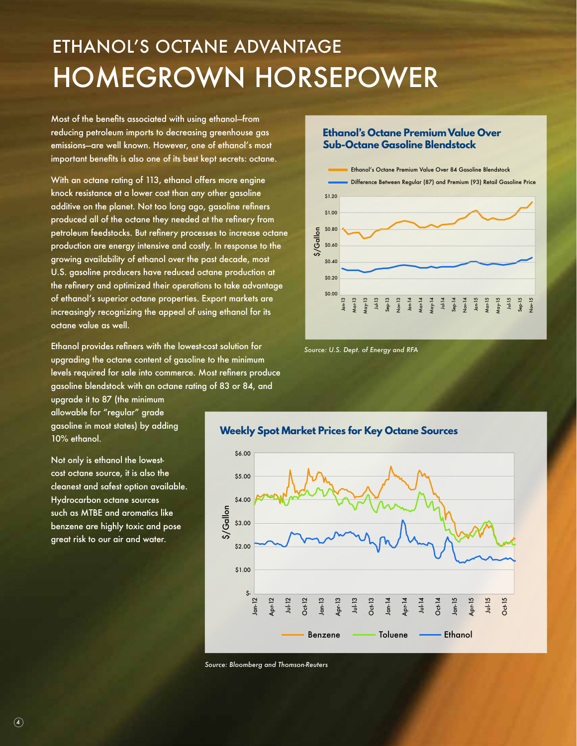## ETHANOL'S OCTANE ADVANTAGE HOMEGROWN HORSEPOWER

Most of the benefits associated with using ethanol—from reducing petroleum imports to decreasing greenhouse gas emissions—are well known. However, one of ethanol's most important benefits is also one of its best kept secrets: octane.

With an octane rating of 113, ethanol offers more engine knock resistance at a lower cost than any other gasoline additive on the planet. Not too long ago, gasoline refiners produced all of the octane they needed at the refinery from petroleum feedstocks. But refinery processes to increase octane production are energy intensive and costly. In response to the growing availability of ethanol over the past decade, most U.S. gasoline producers have reduced octane production at the refinery and optimized their operations to take advantage of ethanol's superior octane properties. Export markets are increasingly recognizing the appeal of using ethanol for its octane value as well.

Ethanol provides refiners with the lowest-cost solution for upgrading the octane content of gasoline to the minimum levels required for sale into commerce. Most refiners produce gasoline blendstock with an octane rating of 83 or 84, and

upgrade it to 87 (the minimum allowable for "regular" grade gasoline in most states) by adding 10% ethanol.

Not only is ethanol the lowestcost octane source, it is also the cleanest and safest option available. Hydrocarbon octane sources such as MTBE and aromatics like benzene are highly toxic and pose great risk to our air and water.

## **Ethanol's Octane Premium Value Over Sub-Octane Gasoline Blendstock**



*Source: U.S. Dept. of Energy and RFA* 



*Source: Bloomberg and Thomson-Reuters*